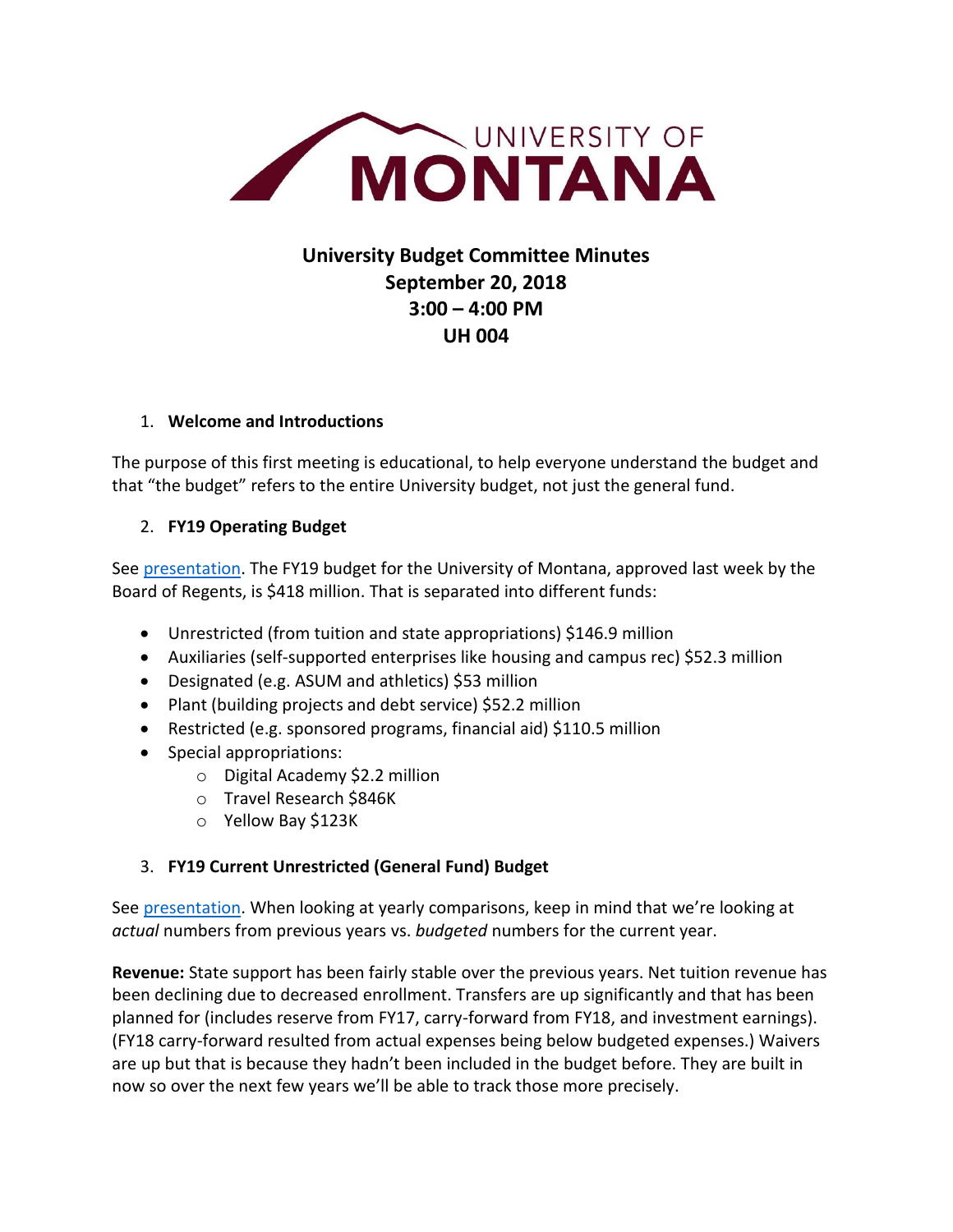

# **University Budget Committee Minutes September 20, 2018 3:00 – 4:00 PM UH 004**

#### 1. **Welcome and Introductions**

The purpose of this first meeting is educational, to help everyone understand the budget and that "the budget" refers to the entire University budget, not just the general fund.

#### 2. **FY19 Operating Budget**

See [presentation.](http://www.umt.edu/planningassessmentcontinuum/Budget/budgetdocs/meeting%20documents/FY19/Budget%20Committee%20Presentation%209-20-18.pptx) The FY19 budget for the University of Montana, approved last week by the Board of Regents, is \$418 million. That is separated into different funds:

- Unrestricted (from tuition and state appropriations) \$146.9 million
- Auxiliaries (self-supported enterprises like housing and campus rec) \$52.3 million
- Designated (e.g. ASUM and athletics) \$53 million
- Plant (building projects and debt service) \$52.2 million
- Restricted (e.g. sponsored programs, financial aid) \$110.5 million
- Special appropriations:
	- o Digital Academy \$2.2 million
	- o Travel Research \$846K
	- o Yellow Bay \$123K

## 3. **FY19 Current Unrestricted (General Fund) Budget**

See [presentation.](http://www.umt.edu/planningassessmentcontinuum/Budget/budgetdocs/meeting%20documents/FY19/Budget%20Committee%20Presentation%209-20-18.pptx) When looking at yearly comparisons, keep in mind that we're looking at *actual* numbers from previous years vs. *budgeted* numbers for the current year.

**Revenue:** State support has been fairly stable over the previous years. Net tuition revenue has been declining due to decreased enrollment. Transfers are up significantly and that has been planned for (includes reserve from FY17, carry-forward from FY18, and investment earnings). (FY18 carry-forward resulted from actual expenses being below budgeted expenses.) Waivers are up but that is because they hadn't been included in the budget before. They are built in now so over the next few years we'll be able to track those more precisely.